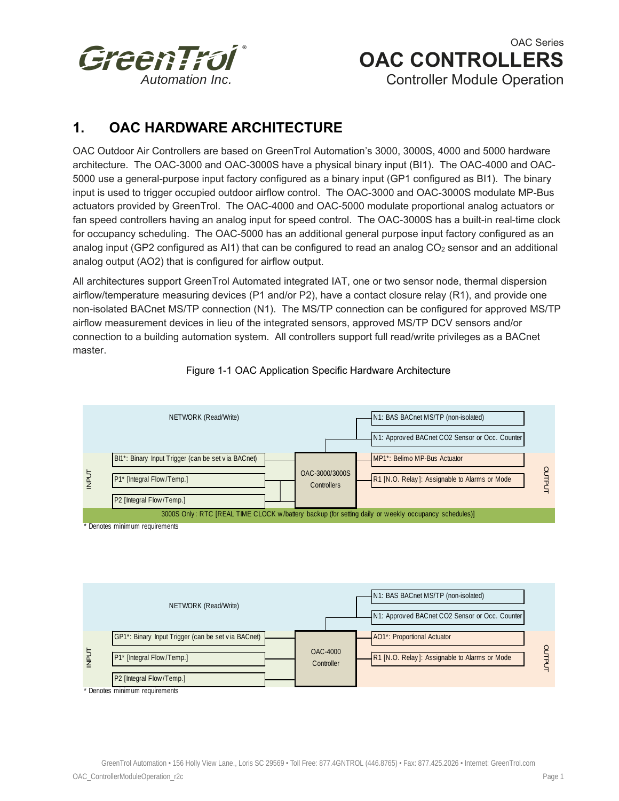

# OAC Series  **OAC CONTROLLERS**

Controller Module Operation

## **1. OAC HARDWARE ARCHITECTURE**

OAC Outdoor Air Controllers are based on GreenTrol Automation's 3000, 3000S, 4000 and 5000 hardware architecture. The OAC-3000 and OAC-3000S have a physical binary input (BI1). The OAC-4000 and OAC-5000 use a general-purpose input factory configured as a binary input (GP1 configured as BI1). The binary input is used to trigger occupied outdoor airflow control. The OAC-3000 and OAC-3000S modulate MP-Bus actuators provided by GreenTrol. The OAC-4000 and OAC-5000 modulate proportional analog actuators or fan speed controllers having an analog input for speed control. The OAC-3000S has a built-in real-time clock for occupancy scheduling. The OAC-5000 has an additional general purpose input factory configured as an analog input (GP2 configured as AI1) that can be configured to read an analog CO<sub>2</sub> sensor and an additional analog output (AO2) that is configured for airflow output.

All architectures support GreenTrol Automated integrated IAT, one or two sensor node, thermal dispersion airflow/temperature measuring devices (P1 and/or P2), have a contact closure relay (R1), and provide one non-isolated BACnet MS/TP connection (N1). The MS/TP connection can be configured for approved MS/TP airflow measurement devices in lieu of the integrated sensors, approved MS/TP DCV sensors and/or connection to a building automation system. All controllers support full read/write privileges as a BACnet master.



Figure 1-1 OAC Application Specific Hardware Architecture

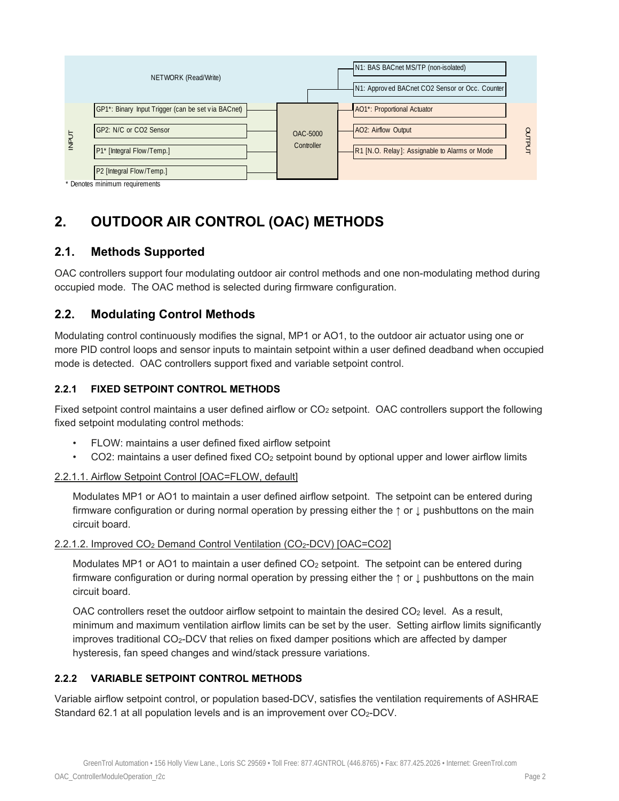

## **2. OUTDOOR AIR CONTROL (OAC) METHODS**

## **2.1. Methods Supported**

OAC controllers support four modulating outdoor air control methods and one non-modulating method during occupied mode. The OAC method is selected during firmware configuration.

## **2.2. Modulating Control Methods**

Modulating control continuously modifies the signal, MP1 or AO1, to the outdoor air actuator using one or more PID control loops and sensor inputs to maintain setpoint within a user defined deadband when occupied mode is detected. OAC controllers support fixed and variable setpoint control.

### **2.2.1 FIXED SETPOINT CONTROL METHODS**

Fixed setpoint control maintains a user defined airflow or  $CO<sub>2</sub>$  setpoint. OAC controllers support the following fixed setpoint modulating control methods:

- FLOW: maintains a user defined fixed airflow setpoint
- CO2: maintains a user defined fixed CO<sub>2</sub> setpoint bound by optional upper and lower airflow limits

### 2.2.1.1. Airflow Setpoint Control [OAC=FLOW, default]

Modulates MP1 or AO1 to maintain a user defined airflow setpoint. The setpoint can be entered during firmware configuration or during normal operation by pressing either the ↑ or ↓ pushbuttons on the main circuit board.

### 2.2.1.2. Improved CO2 Demand Control Ventilation (CO2-DCV) [OAC=CO2]

Modulates MP1 or AO1 to maintain a user defined  $CO<sub>2</sub>$  setpoint. The setpoint can be entered during firmware configuration or during normal operation by pressing either the ↑ or ↓ pushbuttons on the main circuit board.

OAC controllers reset the outdoor airflow setpoint to maintain the desired  $CO<sub>2</sub>$  level. As a result, minimum and maximum ventilation airflow limits can be set by the user. Setting airflow limits significantly improves traditional CO<sub>2</sub>-DCV that relies on fixed damper positions which are affected by damper hysteresis, fan speed changes and wind/stack pressure variations.

## **2.2.2 VARIABLE SETPOINT CONTROL METHODS**

Variable airflow setpoint control, or population based-DCV, satisfies the ventilation requirements of ASHRAE Standard 62.1 at all population levels and is an improvement over CO<sub>2</sub>-DCV.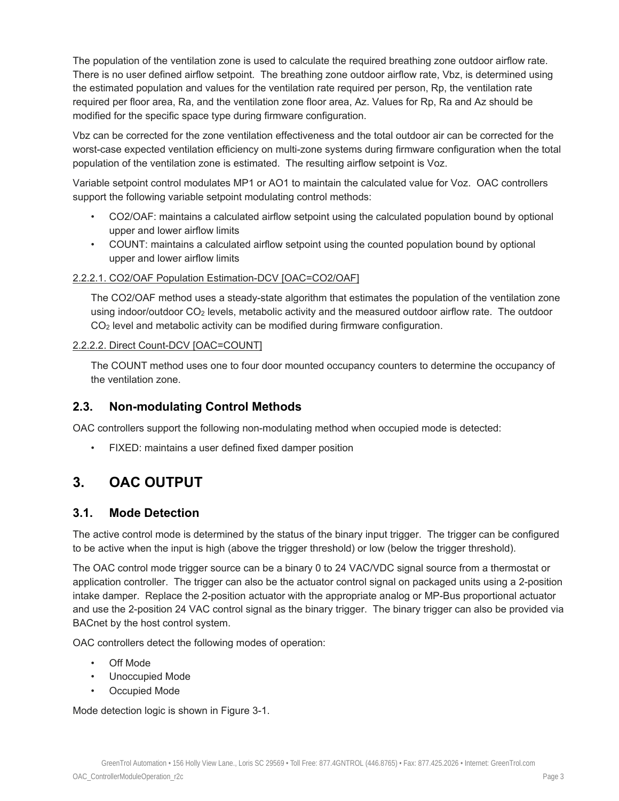The population of the ventilation zone is used to calculate the required breathing zone outdoor airflow rate. There is no user defined airflow setpoint. The breathing zone outdoor airflow rate, Vbz, is determined using the estimated population and values for the ventilation rate required per person, Rp, the ventilation rate required per floor area, Ra, and the ventilation zone floor area, Az. Values for Rp, Ra and Az should be modified for the specific space type during firmware configuration.

Vbz can be corrected for the zone ventilation effectiveness and the total outdoor air can be corrected for the worst-case expected ventilation efficiency on multi-zone systems during firmware configuration when the total population of the ventilation zone is estimated. The resulting airflow setpoint is Voz.

Variable setpoint control modulates MP1 or AO1 to maintain the calculated value for Voz. OAC controllers support the following variable setpoint modulating control methods:

- CO2/OAF: maintains a calculated airflow setpoint using the calculated population bound by optional upper and lower airflow limits
- COUNT: maintains a calculated airflow setpoint using the counted population bound by optional upper and lower airflow limits

#### 2.2.2.1. CO2/OAF Population Estimation-DCV [OAC=CO2/OAF]

The CO2/OAF method uses a steady-state algorithm that estimates the population of the ventilation zone using indoor/outdoor CO2 levels, metabolic activity and the measured outdoor airflow rate. The outdoor CO2 level and metabolic activity can be modified during firmware configuration.

#### 2.2.2.2. Direct Count-DCV [OAC=COUNT]

The COUNT method uses one to four door mounted occupancy counters to determine the occupancy of the ventilation zone.

### **2.3. Non-modulating Control Methods**

OAC controllers support the following non-modulating method when occupied mode is detected:

• FIXED: maintains a user defined fixed damper position

## **3. OAC OUTPUT**

### **3.1. Mode Detection**

The active control mode is determined by the status of the binary input trigger. The trigger can be configured to be active when the input is high (above the trigger threshold) or low (below the trigger threshold).

The OAC control mode trigger source can be a binary 0 to 24 VAC/VDC signal source from a thermostat or application controller. The trigger can also be the actuator control signal on packaged units using a 2-position intake damper. Replace the 2-position actuator with the appropriate analog or MP-Bus proportional actuator and use the 2-position 24 VAC control signal as the binary trigger. The binary trigger can also be provided via BACnet by the host control system.

OAC controllers detect the following modes of operation:

- Off Mode
- Unoccupied Mode
- Occupied Mode

Mode detection logic is shown in Figure 3-1.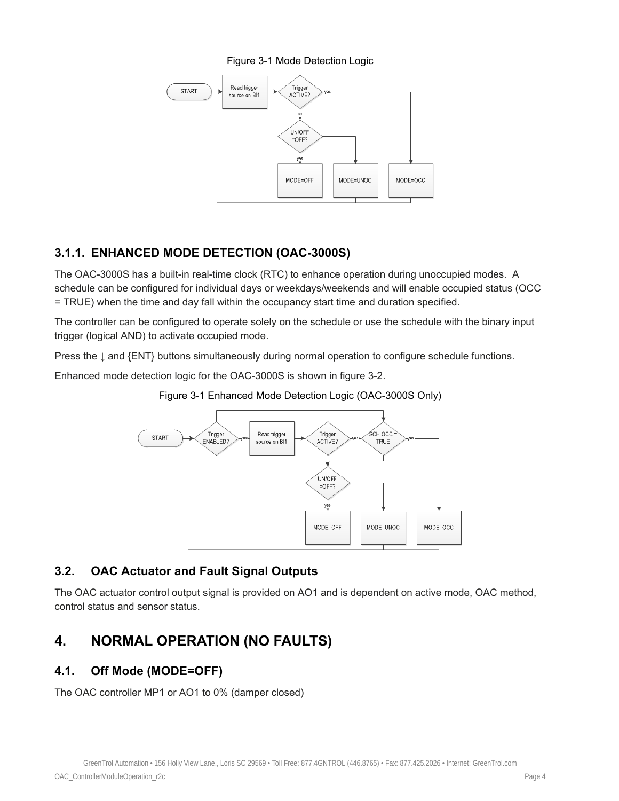#### Figure 3-1 Mode Detection Logic



## **3.1.1. ENHANCED MODE DETECTION (OAC-3000S)**

The OAC-3000S has a built-in real-time clock (RTC) to enhance operation during unoccupied modes. A schedule can be configured for individual days or weekdays/weekends and will enable occupied status (OCC = TRUE) when the time and day fall within the occupancy start time and duration specified.

The controller can be configured to operate solely on the schedule or use the schedule with the binary input trigger (logical AND) to activate occupied mode.

Press the ↓ and {ENT} buttons simultaneously during normal operation to configure schedule functions.

Enhanced mode detection logic for the OAC-3000S is shown in figure 3-2.





## **3.2. OAC Actuator and Fault Signal Outputs**

The OAC actuator control output signal is provided on AO1 and is dependent on active mode, OAC method, control status and sensor status.

## **4. NORMAL OPERATION (NO FAULTS)**

## **4.1. Off Mode (MODE=OFF)**

The OAC controller MP1 or AO1 to 0% (damper closed)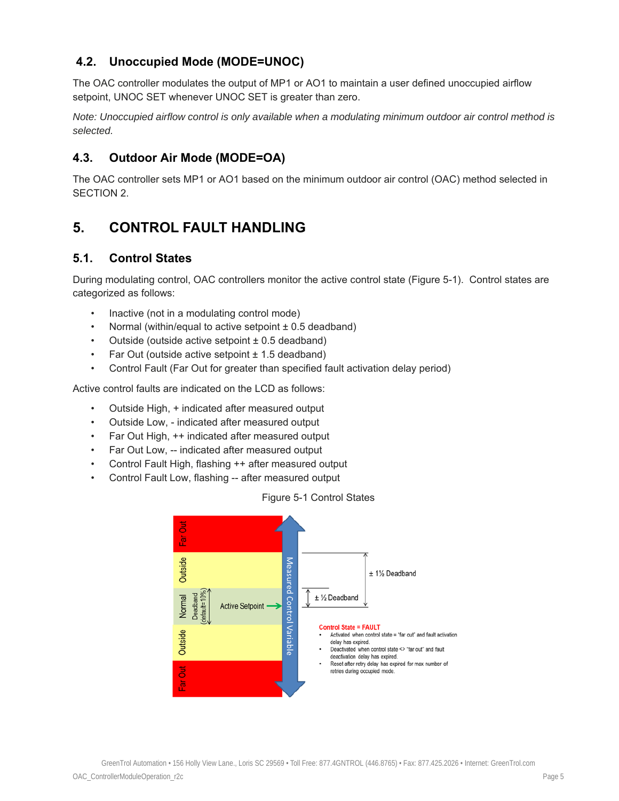## **4.2. Unoccupied Mode (MODE=UNOC)**

The OAC controller modulates the output of MP1 or AO1 to maintain a user defined unoccupied airflow setpoint, UNOC SET whenever UNOC SET is greater than zero.

*Note: Unoccupied airflow control is only available when a modulating minimum outdoor air control method is selected.* 

## **4.3. Outdoor Air Mode (MODE=OA)**

The OAC controller sets MP1 or AO1 based on the minimum outdoor air control (OAC) method selected in SECTION 2.

## **5. CONTROL FAULT HANDLING**

### **5.1. Control States**

During modulating control, OAC controllers monitor the active control state (Figure 5-1). Control states are categorized as follows:

- Inactive (not in a modulating control mode)
- Normal (within/equal to active setpoint ± 0.5 deadband)
- Outside (outside active setpoint  $\pm$  0.5 deadband)
- Far Out (outside active setpoint ± 1.5 deadband)
- Control Fault (Far Out for greater than specified fault activation delay period)

Active control faults are indicated on the LCD as follows:

- Outside High, + indicated after measured output
- Outside Low, indicated after measured output
- Far Out High, ++ indicated after measured output
- Far Out Low, -- indicated after measured output
- Control Fault High, flashing ++ after measured output
- Control Fault Low, flashing -- after measured output



#### Figure 5-1 Control States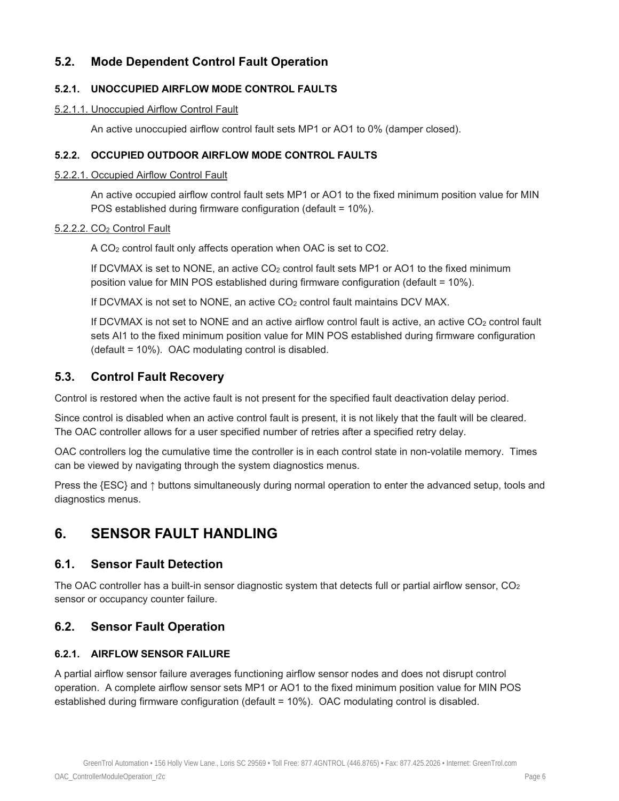## **5.2. Mode Dependent Control Fault Operation**

#### **5.2.1. UNOCCUPIED AIRFLOW MODE CONTROL FAULTS**

#### 5.2.1.1. Unoccupied Airflow Control Fault

An active unoccupied airflow control fault sets MP1 or AO1 to 0% (damper closed).

#### **5.2.2. OCCUPIED OUTDOOR AIRFLOW MODE CONTROL FAULTS**

#### 5.2.2.1. Occupied Airflow Control Fault

An active occupied airflow control fault sets MP1 or AO1 to the fixed minimum position value for MIN POS established during firmware configuration (default = 10%).

#### 5.2.2.2. CO2 Control Fault

A CO2 control fault only affects operation when OAC is set to CO2.

If DCVMAX is set to NONE, an active CO<sub>2</sub> control fault sets MP1 or AO1 to the fixed minimum position value for MIN POS established during firmware configuration (default = 10%).

If DCVMAX is not set to NONE, an active CO<sub>2</sub> control fault maintains DCV MAX.

If DCVMAX is not set to NONE and an active airflow control fault is active, an active  $CO<sub>2</sub>$  control fault sets AI1 to the fixed minimum position value for MIN POS established during firmware configuration (default = 10%). OAC modulating control is disabled.

## **5.3. Control Fault Recovery**

Control is restored when the active fault is not present for the specified fault deactivation delay period.

Since control is disabled when an active control fault is present, it is not likely that the fault will be cleared. The OAC controller allows for a user specified number of retries after a specified retry delay.

OAC controllers log the cumulative time the controller is in each control state in non-volatile memory. Times can be viewed by navigating through the system diagnostics menus.

Press the {ESC} and ↑ buttons simultaneously during normal operation to enter the advanced setup, tools and diagnostics menus.

## **6. SENSOR FAULT HANDLING**

### **6.1. Sensor Fault Detection**

The OAC controller has a built-in sensor diagnostic system that detects full or partial airflow sensor,  $CO<sub>2</sub>$ sensor or occupancy counter failure.

## **6.2. Sensor Fault Operation**

#### **6.2.1. AIRFLOW SENSOR FAILURE**

A partial airflow sensor failure averages functioning airflow sensor nodes and does not disrupt control operation. A complete airflow sensor sets MP1 or AO1 to the fixed minimum position value for MIN POS established during firmware configuration (default = 10%). OAC modulating control is disabled.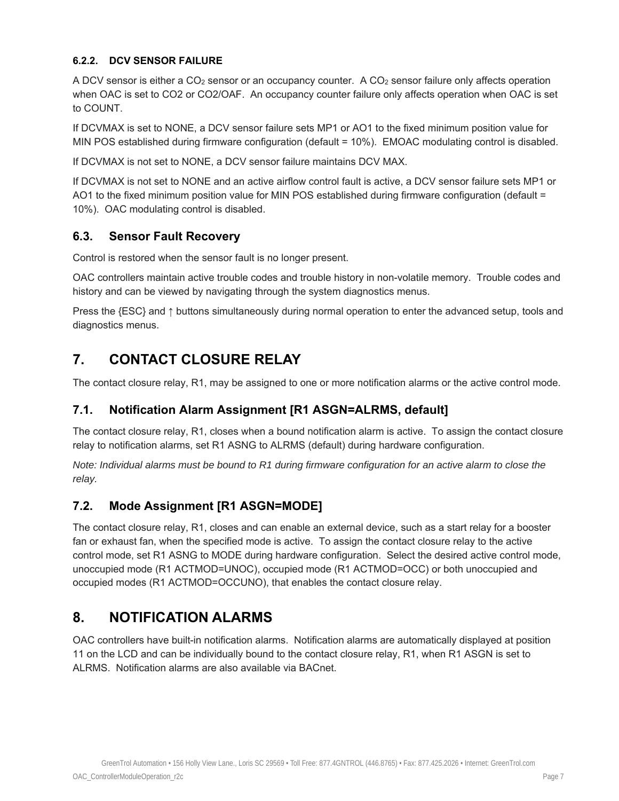#### **6.2.2. DCV SENSOR FAILURE**

A DCV sensor is either a CO<sub>2</sub> sensor or an occupancy counter. A CO<sub>2</sub> sensor failure only affects operation when OAC is set to CO2 or CO2/OAF. An occupancy counter failure only affects operation when OAC is set to COUNT.

If DCVMAX is set to NONE, a DCV sensor failure sets MP1 or AO1 to the fixed minimum position value for MIN POS established during firmware configuration (default = 10%). EMOAC modulating control is disabled.

If DCVMAX is not set to NONE, a DCV sensor failure maintains DCV MAX.

If DCVMAX is not set to NONE and an active airflow control fault is active, a DCV sensor failure sets MP1 or AO1 to the fixed minimum position value for MIN POS established during firmware configuration (default = 10%). OAC modulating control is disabled.

## **6.3. Sensor Fault Recovery**

Control is restored when the sensor fault is no longer present.

OAC controllers maintain active trouble codes and trouble history in non-volatile memory. Trouble codes and history and can be viewed by navigating through the system diagnostics menus.

Press the {ESC} and ↑ buttons simultaneously during normal operation to enter the advanced setup, tools and diagnostics menus.

## **7. CONTACT CLOSURE RELAY**

The contact closure relay, R1, may be assigned to one or more notification alarms or the active control mode.

## **7.1. Notification Alarm Assignment [R1 ASGN=ALRMS, default]**

The contact closure relay, R1, closes when a bound notification alarm is active. To assign the contact closure relay to notification alarms, set R1 ASNG to ALRMS (default) during hardware configuration.

*Note: Individual alarms must be bound to R1 during firmware configuration for an active alarm to close the relay.* 

## **7.2. Mode Assignment [R1 ASGN=MODE]**

The contact closure relay, R1, closes and can enable an external device, such as a start relay for a booster fan or exhaust fan, when the specified mode is active. To assign the contact closure relay to the active control mode, set R1 ASNG to MODE during hardware configuration. Select the desired active control mode, unoccupied mode (R1 ACTMOD=UNOC), occupied mode (R1 ACTMOD=OCC) or both unoccupied and occupied modes (R1 ACTMOD=OCCUNO), that enables the contact closure relay.

## **8. NOTIFICATION ALARMS**

OAC controllers have built-in notification alarms. Notification alarms are automatically displayed at position 11 on the LCD and can be individually bound to the contact closure relay, R1, when R1 ASGN is set to ALRMS. Notification alarms are also available via BACnet.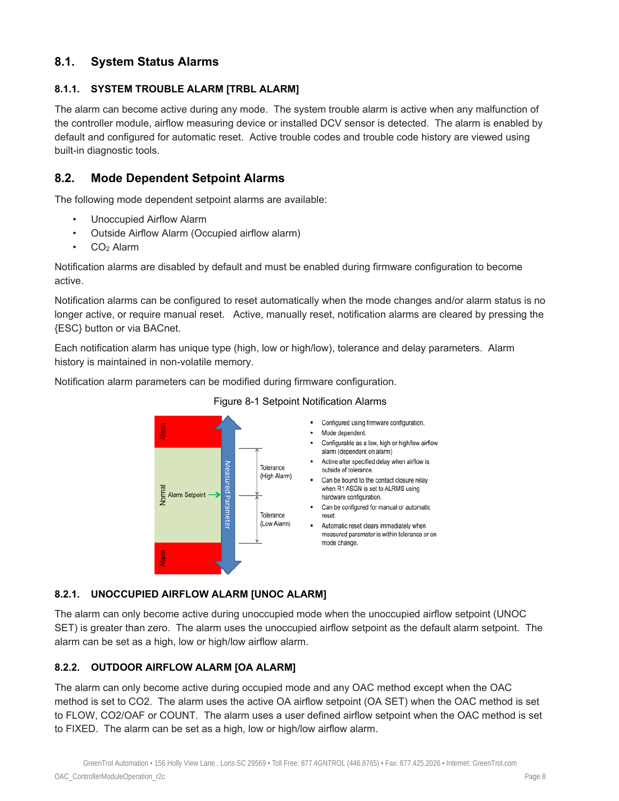## **8.1. System Status Alarms**

#### **8.1.1. SYSTEM TROUBLE ALARM [TRBL ALARM]**

The alarm can become active during any mode. The system trouble alarm is active when any malfunction of the controller module, airflow measuring device or installed DCV sensor is detected. The alarm is enabled by default and configured for automatic reset. Active trouble codes and trouble code history are viewed using built-in diagnostic tools.

### **8.2. Mode Dependent Setpoint Alarms**

The following mode dependent setpoint alarms are available:

- Unoccupied Airflow Alarm
- Outside Airflow Alarm (Occupied airflow alarm)
- CO<sub>2</sub> Alarm

Notification alarms are disabled by default and must be enabled during firmware configuration to become active.

Notification alarms can be configured to reset automatically when the mode changes and/or alarm status is no longer active, or require manual reset. Active, manually reset, notification alarms are cleared by pressing the {ESC} button or via BACnet.

Each notification alarm has unique type (high, low or high/low), tolerance and delay parameters. Alarm history is maintained in non-volatile memory.

Notification alarm parameters can be modified during firmware configuration.



#### Figure 8-1 Setpoint Notification Alarms

- Configured using firmware configuration.
- Configurable as a low, high or high/low airflow alarm (dependent on alarm)
- Active after specified delay when airflow is outside of tolerance.
- Can be bound to the contact closure relay when R1 ASGN is set to ALRMS using
- Can be configured for manual or automatic
- Automatic reset clears immediately when measured parameter is within tolerance or on

#### **8.2.1. UNOCCUPIED AIRFLOW ALARM [UNOC ALARM]**

The alarm can only become active during unoccupied mode when the unoccupied airflow setpoint (UNOC SET) is greater than zero. The alarm uses the unoccupied airflow setpoint as the default alarm setpoint. The alarm can be set as a high, low or high/low airflow alarm.

#### **8.2.2. OUTDOOR AIRFLOW ALARM [OA ALARM]**

The alarm can only become active during occupied mode and any OAC method except when the OAC method is set to CO2. The alarm uses the active OA airflow setpoint (OA SET) when the OAC method is set to FLOW, CO2/OAF or COUNT. The alarm uses a user defined airflow setpoint when the OAC method is set to FIXED. The alarm can be set as a high, low or high/low airflow alarm.